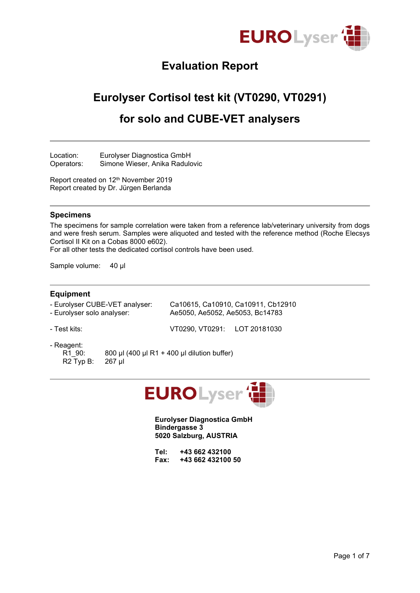

## **Evaluation Report**

## **Eurolyser Cortisol test kit (VT0290, VT0291)**

## **for solo and CUBE-VET analysers**

Location: Eurolyser Diagnostica GmbH Operators: Simone Wieser, Anika Radulovic

Report created on 12<sup>th</sup> November 2019 Report created by Dr. Jürgen Berlanda

#### **Specimens**

The specimens for sample correlation were taken from a reference lab/veterinary university from dogs and were fresh serum. Samples were aliquoted and tested with the reference method (Roche Elecsys Cortisol II Kit on a Cobas 8000 e602).

For all other tests the dedicated cortisol controls have been used.

Sample volume: 40 µl

#### **Equipment**

- Eurolyser CUBE-VET analyser: Ca10615, Ca10910, Ca10911, Cb12910 - Eurolyser solo analyser: Ae5050, Ae5052, Ae5053, Bc14783
- 

- Test kits: VT0290, VT0291: LOT 20181030

- Reagent:
	-

R1\_90: 800 µl (400 µl R1 + 400 µl dilution buffer) R2 Typ B: 267 µl



**Eurolyser Diagnostica GmbH Bindergasse 3 5020 Salzburg, AUSTRIA**

| Tel: | +43 662 432100    |  |
|------|-------------------|--|
| Fax: | +43 662 432100 50 |  |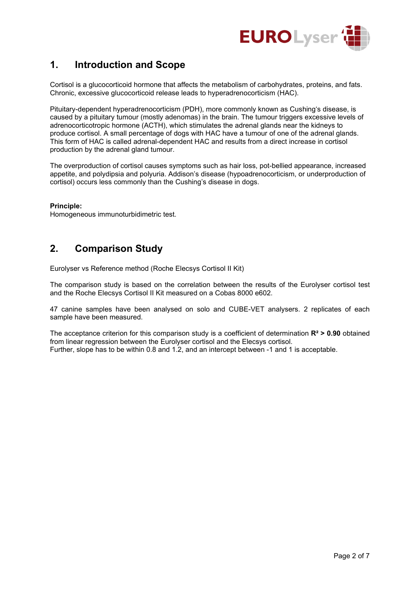

## **1. Introduction and Scope**

Cortisol is a glucocorticoid hormone that affects the metabolism of carbohydrates, proteins, and fats. Chronic, excessive glucocorticoid release leads to hyperadrenocorticism (HAC).

Pituitary-dependent hyperadrenocorticism (PDH), more commonly known as Cushing's disease, is caused by a pituitary tumour (mostly adenomas) in the brain. The tumour triggers excessive levels of adrenocorticotropic hormone (ACTH), which stimulates the adrenal glands near the kidneys to produce cortisol. A small percentage of dogs with HAC have a tumour of one of the adrenal glands. This form of HAC is called adrenal-dependent HAC and results from a direct increase in cortisol production by the adrenal gland tumour.

The overproduction of cortisol causes symptoms such as hair loss, pot-bellied appearance, increased appetite, and polydipsia and polyuria. Addison's disease (hypoadrenocorticism, or underproduction of cortisol) occurs less commonly than the Cushing's disease in dogs.

#### **Principle:**

Homogeneous immunoturbidimetric test.

### **2. Comparison Study**

Eurolyser vs Reference method (Roche Elecsys Cortisol II Kit)

The comparison study is based on the correlation between the results of the Eurolyser cortisol test and the Roche Elecsys Cortisol II Kit measured on a Cobas 8000 e602.

47 canine samples have been analysed on solo and CUBE-VET analysers. 2 replicates of each sample have been measured.

The acceptance criterion for this comparison study is a coefficient of determination **R² > 0.90** obtained from linear regression between the Eurolyser cortisol and the Elecsys cortisol. Further, slope has to be within 0.8 and 1.2, and an intercept between -1 and 1 is acceptable.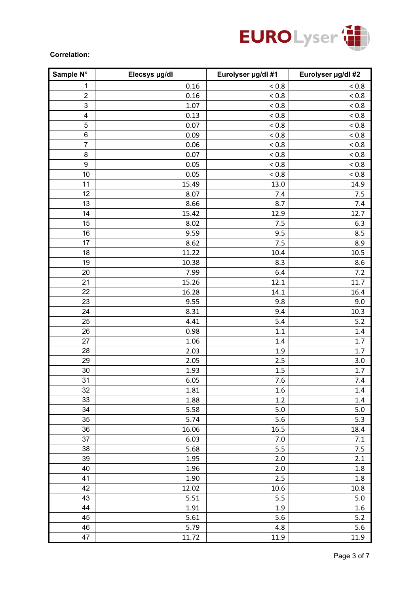

#### **Correlation:**

| Sample N°               | Elecsys µg/dl | Eurolyser µg/dl #1 | Eurolyser µg/dl #2 |
|-------------------------|---------------|--------------------|--------------------|
| $\mathbf{1}$            | 0.16          | ${}_{< 0.8}$       | ${}_{0.8}$         |
| $\sqrt{2}$              | 0.16          | < 0.8              | < 0.8              |
| $\mathbf{3}$            | 1.07          | ${}_{< 0.8}$       | ${}_{< 0.8}$       |
| $\overline{\mathbf{4}}$ | 0.13          | ${}_{< 0.8}$       | ${}_{< 0.8}$       |
| 5                       | 0.07          | < 0.8              | < 0.8              |
| $\,6$                   | 0.09          | ${}_{< 0.8}$       | ${}_{< 0.8}$       |
| $\overline{7}$          | 0.06          | ${}_{< 0.8}$       | ${}_{< 0.8}$       |
| 8                       | 0.07          | < 0.8              | ${}_{< 0.8}$       |
| $\boldsymbol{9}$        | 0.05          | ${}_{< 0.8}$       | ${}_{< 0.8}$       |
| 10                      | 0.05          | ${}_{< 0.8}$       | ${}_{< 0.8}$       |
| 11                      | 15.49         | 13.0               | 14.9               |
| 12                      | 8.07          | 7.4                | 7.5                |
| 13                      | 8.66          | 8.7                | 7.4                |
| 14                      | 15.42         | 12.9               | 12.7               |
| 15                      | 8.02          | 7.5                | 6.3                |
| 16                      | 9.59          | 9.5                | 8.5                |
| 17                      | 8.62          | 7.5                | 8.9                |
| 18                      | 11.22         | 10.4               | 10.5               |
| 19                      | 10.38         | 8.3                | 8.6                |
| 20                      | 7.99          | 6.4                | 7.2                |
| 21                      | 15.26         | 12.1               | 11.7               |
| 22                      | 16.28         | 14.1               | 16.4               |
| 23                      | 9.55          | 9.8                | 9.0                |
| 24                      | 8.31          | 9.4                | 10.3               |
| 25                      | 4.41          | 5.4                | 5.2                |
| 26                      | 0.98          | 1.1                | 1.4                |
| 27                      | 1.06          | 1.4                | 1.7                |
| 28                      | 2.03          | 1.9                | 1.7                |
| 29                      | 2.05          | 2.5                | 3.0                |
| 30                      | 1.93          | 1.5                | 1.7                |
| 31                      | 6.05          | 7.6                | 7.4                |
| 32                      | 1.81          | 1.6                | 1.4                |
| 33                      | 1.88          | 1.2                | 1.4                |
| 34                      | 5.58          | $5.0$              | 5.0                |
| 35                      | 5.74          | 5.6                | 5.3                |
| 36                      | 16.06         | 16.5               | 18.4               |
| 37                      | 6.03          | 7.0                | $7.1$              |
| 38                      | 5.68          | 5.5                | 7.5                |
| 39                      | 1.95          | 2.0                | 2.1                |
| 40                      | 1.96          | 2.0                | $1.8\,$            |
| 41                      | 1.90          | 2.5                | 1.8                |
| 42                      | 12.02         | 10.6               | 10.8               |
| 43                      | 5.51          | 5.5                | $5.0$              |
| 44                      | 1.91          | 1.9                | 1.6                |
| 45                      | 5.61          | 5.6                | 5.2                |
| 46                      | 5.79          | 4.8                | 5.6                |
| 47                      | 11.72         | 11.9               | 11.9               |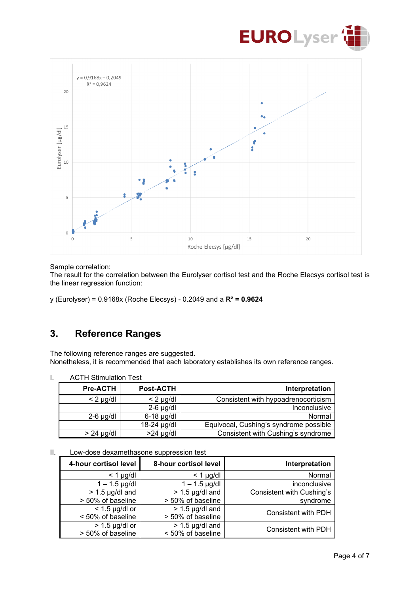



Sample correlation:

The result for the correlation between the Eurolyser cortisol test and the Roche Elecsys cortisol test is the linear regression function:

y (Eurolyser) = 0.9168x (Roche Elecsys) - 0.2049 and a **R² = 0.9624**

### **3. Reference Ranges**

The following reference ranges are suggested. Nonetheless, it is recommended that each laboratory establishes its own reference ranges.

|                                        | AU IM Sumulation Test |                 |  |
|----------------------------------------|-----------------------|-----------------|--|
| Interpretation                         | <b>Post-ACTH</b>      | <b>Pre-ACTH</b> |  |
| Consistent with hypoadrenocorticism    | $< 2$ µg/dl           | $< 2$ µg/dl     |  |
| Inconclusive                           | $2-6$ µg/dl           |                 |  |
| Normal                                 | $6-18$ µg/dl          | $2-6$ µg/dl     |  |
| Equivocal, Cushing's syndrome possible | 18-24 µg/dl           |                 |  |
| Consistent with Cushing's syndrome     | $>24$ µg/dl           | $> 24$ µg/dl    |  |

I. ACTH Stimulation Test

| H. |  |  | Low-dose dexamethasone suppression test |  |  |
|----|--|--|-----------------------------------------|--|--|
|----|--|--|-----------------------------------------|--|--|

| Interpretation             | 8-hour cortisol level | 4-hour cortisol level |
|----------------------------|-----------------------|-----------------------|
| Normal                     | $<$ 1 µg/dl           | $<$ 1 $\mu$ g/dl      |
| inconclusive               | $1 - 1.5$ µg/dl       | $1 - 1.5$ µg/dl       |
| Consistent with Cushing's  | $> 1.5$ µg/dl and     | $> 1.5$ µg/dl and     |
| syndrome                   | > 50% of baseline     | > 50% of baseline     |
| <b>Consistent with PDH</b> | $> 1.5$ µg/dl and     | $<$ 1.5 µg/dl or      |
|                            | > 50% of baseline     | < 50% of baseline     |
| <b>Consistent with PDH</b> | $> 1.5$ µg/dl and     | $> 1.5$ µg/dl or      |
|                            | < 50% of baseline     | > 50% of baseline     |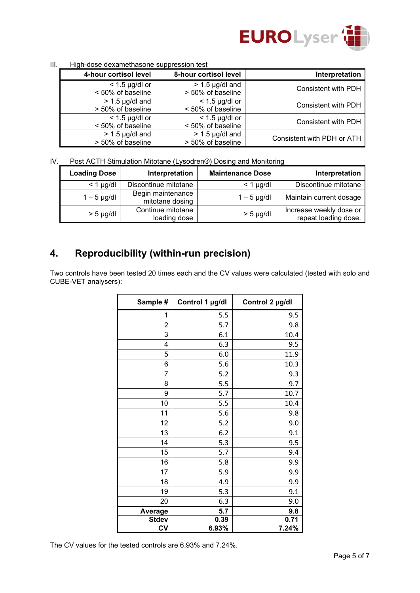

|                            | .<br><b>Than about abyainded in cappi cooler tool</b> |                                        |  |  |  |
|----------------------------|-------------------------------------------------------|----------------------------------------|--|--|--|
| Interpretation             | 8-hour cortisol level                                 | 4-hour cortisol level                  |  |  |  |
| Consistent with PDH        | $> 1.5$ µg/dl and<br>> 50% of baseline                | $<$ 1.5 µg/dl or<br>< 50% of baseline  |  |  |  |
| Consistent with PDH        | $<$ 1.5 µg/dl or<br>< 50% of baseline                 | $> 1.5$ µg/dl and<br>> 50% of baseline |  |  |  |
| Consistent with PDH        | $<$ 1.5 µg/dl or<br>< 50% of baseline                 | $<$ 1.5 µg/dl or<br>< 50% of baseline  |  |  |  |
| Consistent with PDH or ATH | $> 1.5$ µg/dl and<br>> 50% of baseline                | $> 1.5$ µg/dl and<br>> 50% of baseline |  |  |  |

III. High-dose dexamethasone suppression test

IV. Post ACTH Stimulation Mitotane (Lysodren®) Dosing and Monitoring

| <b>Loading Dose</b> | Interpretation                       | <b>Maintenance Dose</b> | Interpretation                                  |
|---------------------|--------------------------------------|-------------------------|-------------------------------------------------|
| $<$ 1 µg/dl         | Discontinue mitotane                 | $<$ 1 µg/dl             | Discontinue mitotane                            |
| $1-5$ µg/dl         | Begin maintenance<br>mitotane dosing | $1 - 5$ µg/dl           | Maintain current dosage                         |
| $> 5$ µg/dl         | Continue mitotane<br>loading dose    | $> 5$ µg/dl             | Increase weekly dose or<br>repeat loading dose. |

# **4. Reproducibility (within-run precision)**

Two controls have been tested 20 times each and the CV values were calculated (tested with solo and CUBE-VET analysers):

| Sample #     | Control 1 µg/dl | Control 2 µg/dl |
|--------------|-----------------|-----------------|
| 1            | 5.5             | 9.5             |
| 2            | 5.7             | 9.8             |
| 3            | 6.1             | 10.4            |
| 4            | 6.3             | 9.5             |
| 5            | 6.0             | 11.9            |
| 6            | 5.6             | 10.3            |
| 7            | 5.2             | 9.3             |
| 8            | 5.5             | 9.7             |
| 9            | 5.7             | 10.7            |
| 10           | 5.5             | 10.4            |
| 11           | 5.6             | 9.8             |
| 12           | 5.2             | 9.0             |
| 13           | 6.2             | 9.1             |
| 14           | 5.3             | 9.5             |
| 15           | 5.7             | 9.4             |
| 16           | 5.8             | 9.9             |
| 17           | 5.9             | 9.9             |
| 18           | 4.9             | 9.9             |
| 19           | 5.3             | 9.1             |
| 20           | 6.3             | 9.0             |
| Average      | 5.7             | 9.8             |
| <b>Stdev</b> | 0.39            | 0.71            |
| <b>CV</b>    | 6.93%           | 7.24%           |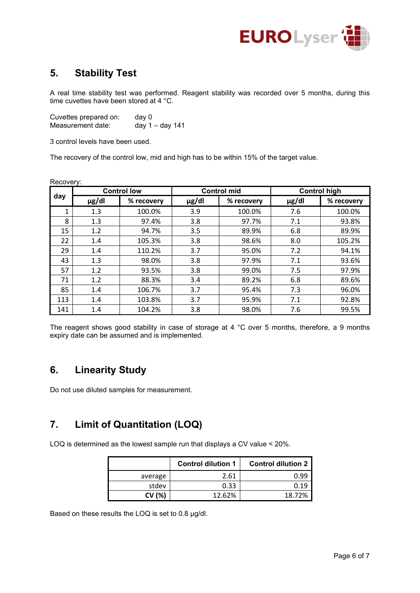

## **5. Stability Test**

A real time stability test was performed. Reagent stability was recorded over 5 months, during this time cuvettes have been stored at 4 °C.

Cuvettes prepared on: day 0 Measurement date: day 1 – day 141

3 control levels have been used.

The recovery of the control low, mid and high has to be within 15% of the target value.

| Recovery: |            |                    |            |                    |            |                     |  |
|-----------|------------|--------------------|------------|--------------------|------------|---------------------|--|
|           |            | <b>Control low</b> |            | <b>Control mid</b> |            | <b>Control high</b> |  |
| day       | $\mu$ g/dl | % recovery         | $\mu$ g/dl | % recovery         | $\mu$ g/dl | % recovery          |  |
| 1         | 1.3        | 100.0%             | 3.9        | 100.0%             | 7.6        | 100.0%              |  |
| 8         | 1.3        | 97.4%              | 3.8        | 97.7%              | 7.1        | 93.8%               |  |
| 15        | 1.2        | 94.7%              | 3.5        | 89.9%              | 6.8        | 89.9%               |  |
| 22        | 1.4        | 105.3%             | 3.8        | 98.6%              | 8.0        | 105.2%              |  |
| 29        | 1.4        | 110.2%             | 3.7        | 95.0%              | 7.2        | 94.1%               |  |
| 43        | 1.3        | 98.0%              | 3.8        | 97.9%              | 7.1        | 93.6%               |  |
| 57        | 1.2        | 93.5%              | 3.8        | 99.0%              | 7.5        | 97.9%               |  |
| 71        | 1.2        | 88.3%              | 3.4        | 89.2%              | 6.8        | 89.6%               |  |
| 85        | 1.4        | 106.7%             | 3.7        | 95.4%              | 7.3        | 96.0%               |  |
| 113       | 1.4        | 103.8%             | 3.7        | 95.9%              | 7.1        | 92.8%               |  |
| 141       | 1.4        | 104.2%             | 3.8        | 98.0%              | 7.6        | 99.5%               |  |

The reagent shows good stability in case of storage at 4 °C over 5 months, therefore, a 9 months expiry date can be assumed and is implemented.

### **6. Linearity Study**

Do not use diluted samples for measurement.

## **7. Limit of Quantitation (LOQ)**

LOQ is determined as the lowest sample run that displays a CV value < 20%.

|         | <b>Control dilution 1</b> | <b>Control dilution 2</b> |
|---------|---------------------------|---------------------------|
| average | 2.61                      | Ი.99                      |
| stdev   | 0.33                      | 0.19                      |
| CV (%)  | 12.62%                    | 18.72%                    |

Based on these results the LOQ is set to 0.8 µg/dl.